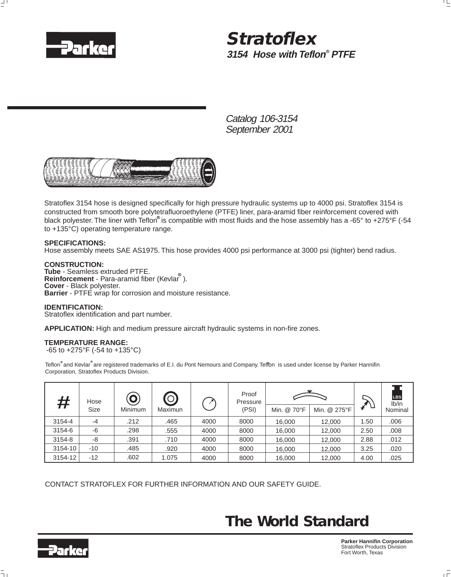

## **3154 Hose with Teflon<sup>®</sup> PTFE Stratoflex**

Catalog 106-3154 September 2001



Stratoflex 3154 hose is designed specifically for high pressure hydraulic systems up to 4000 psi. Stratoflex 3154 is constructed from smooth bore polytetrafluoroethylene (PTFE) liner, para-aramid fiber reinforcement covered with black polyester. The liner with Teflon<sup>∞</sup> is compatible with most fluids and the hose assembly has a -65° to +275°F (-54 to +135°C) operating temperature range.

### **SPECIFICATIONS:**

Hose assembly meets SAE AS1975. This hose provides 4000 psi performance at 3000 psi (tighter) bend radius.

### **CONSTRUCTION:**

**Tube** - Seamless extruded PTFE. **Reinforcement** - Para-aramid fiber (Kevlar ). **Cover** - Black polyester. **Barrier** - PTFE wrap for corrosion and moisture resistance.

### **IDENTIFICATION:**

Stratoflex identification and part number.

**APPLICATION:** High and medium pressure aircraft hydraulic systems in non-fire zones.

### **TEMPERATURE RANGE:**

-65 to +275°F (-54 to +135°C)

Teflon and Kevlar are registered trademarks of E.I. du Pont Nemours and Company. Teflon is used under license by Parker Hannifin Corporation, Stratoflex Products Division.

| #       | Hose<br><b>Size</b> | $\overline{\mathbf{o}}$<br>Minimum | $\odot$<br>Maximun |      | Proof<br>Pressure<br>(PSI) |             |              |      | <b>LBS</b><br>Ib/in |
|---------|---------------------|------------------------------------|--------------------|------|----------------------------|-------------|--------------|------|---------------------|
|         |                     |                                    |                    |      |                            | Min. @ 70°F | Min. @ 275°F |      | Nominal             |
| 3154-4  | $-4$                | .212                               | .465               | 4000 | 8000                       | 16.000      | 12.000       | 1.50 | .006                |
| 3154-6  | -6                  | .298                               | .555               | 4000 | 8000                       | 16.000      | 12.000       | 2.50 | .008                |
| 3154-8  | -8                  | .391                               | .710               | 4000 | 8000                       | 16,000      | 12,000       | 2.88 | .012                |
| 3154-10 | $-10$               | .485                               | .920               | 4000 | 8000                       | 16.000      | 12,000       | 3.25 | .020                |
| 3154-12 | $-12$               | .602                               | 1.075              | 4000 | 8000                       | 16,000      | 12,000       | 4.00 | .025                |

CONTACT STRATOFLEX FOR FURTHER INFORMATION AND OUR SAFETY GUIDE.

## *The World Standard*